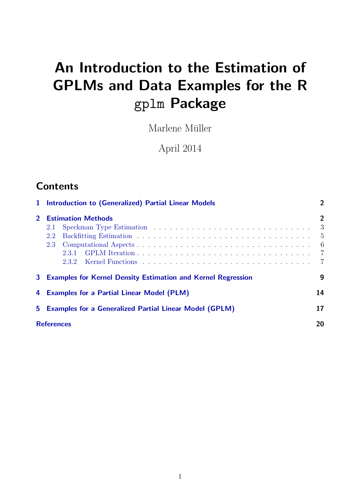# An Introduction to the Estimation of GPLMs and Data Examples for the R gplm Package

Marlene Müller

April 2014

# **Contents**

|             | 1 Introduction to (Generalized) Partial Linear Models                    |                                                                                 |  |  |  |
|-------------|--------------------------------------------------------------------------|---------------------------------------------------------------------------------|--|--|--|
| $2^{\circ}$ | <b>Estimation Methods</b><br>2.1<br>2.2<br>2.3                           | $\overline{2}$<br>3<br>$\frac{5}{2}$<br>- 6<br>$\overline{7}$<br>$\overline{7}$ |  |  |  |
| 3           | <b>Examples for Kernel Density Estimation and Kernel Regression</b><br>9 |                                                                                 |  |  |  |
| 4           | 14<br><b>Examples for a Partial Linear Model (PLM)</b>                   |                                                                                 |  |  |  |
| 5.          | <b>Examples for a Generalized Partial Linear Model (GPLM)</b>            |                                                                                 |  |  |  |
|             | <b>References</b><br>20                                                  |                                                                                 |  |  |  |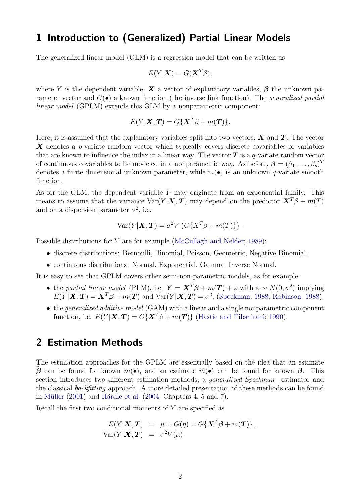### <span id="page-1-0"></span>1 Introduction to (Generalized) Partial Linear Models

The generalized linear model (GLM) is a regression model that can be written as

$$
E(Y|\mathbf{X}) = G(\mathbf{X}^T\beta),
$$

where Y is the dependent variable, X a vector of explanatory variables,  $\beta$  the unknown parameter vector and  $G(\bullet)$  a known function (the inverse link function). The *generalized partial* linear model (GPLM) extends this GLM by a nonparametric component:

$$
E(Y|\mathbf{X}, \mathbf{T}) = G\{\mathbf{X}^T\beta + m(\mathbf{T})\}.
$$

Here, it is assumed that the explanatory variables split into two vectors,  $\boldsymbol{X}$  and  $\boldsymbol{T}$ . The vector  $\boldsymbol{X}$  denotes a p-variate random vector which typically covers discrete covariables or variables that are known to influence the index in a linear way. The vector  $T$  is a q-variate random vector of continuous covariables to be modeled in a nonparametric way. As before,  $\boldsymbol{\beta} = (\beta_1, \dots, \beta_p)^T$ denotes a finite dimensional unknown parameter, while  $m(\bullet)$  is an unknown q-variate smooth function.

As for the GLM, the dependent variable Y may originate from an exponential family. This means to assume that the variance  $Var(Y|\boldsymbol{X}, \boldsymbol{T})$  may depend on the predictor  $\boldsymbol{X}^T\beta + m(T)$ and on a dispersion parameter  $\sigma^2$ , i.e.

$$
Var(Y|\mathbf{X}, \mathbf{T}) = \sigma^2 V \left( G\{ X^T \beta + m(T) \} \right).
$$

Possible distributions for Y are for example [\(McCullagh and Nelder;](#page-19-0) [1989\)](#page-19-0):

- discrete distributions: Bernoulli, Binomial, Poisson, Geometric, Negative Binomial,
- continuous distributions: Normal, Exponential, Gamma, Inverse Normal.

It is easy to see that GPLM covers other semi-non-parametric models, as for example:

- the partial linear model (PLM), i.e.  $Y = \mathbf{X}^T \boldsymbol{\beta} + m(\mathbf{T}) + \varepsilon$  with  $\varepsilon \sim N(0, \sigma^2)$  implying  $E(Y|\boldsymbol{X}, \boldsymbol{T}) = \boldsymbol{X}^T\boldsymbol{\beta} + m(\boldsymbol{T})$  and  $Var(Y|\boldsymbol{X}, \boldsymbol{T}) = \sigma^2$ , [\(Speckman;](#page-19-1) [1988;](#page-19-1) [Robinson;](#page-19-2) [1988\)](#page-19-2).
- the *generalized additive model* (GAM) with a linear and a single nonparametric component function, i.e.  $E(Y|\mathbf{X}, \mathbf{T}) = G\{\mathbf{X}^T\beta + m(\mathbf{T})\}$  [\(Hastie and Tibshirani;](#page-19-3) [1990\)](#page-19-3).

### <span id="page-1-1"></span>2 Estimation Methods

The estimation approaches for the GPLM are essentially based on the idea that an estimate β can be found for known  $m(\bullet)$ , and an estimate  $\hat{m}(\bullet)$  can be found for known β. This section introduces two different estimation methods, a *generalized Speckman* estimator and the classical backfitting approach. A more detailed presentation of these methods can be found in Müller  $(2001)$  and Härdle et al.  $(2004, Chapters 4, 5 and 7).$  $(2004, Chapters 4, 5 and 7).$ 

Recall the first two conditional moments of Y are specified as

$$
E(Y|\mathbf{X}, \mathbf{T}) = \mu = G(\eta) = G\{\mathbf{X}^T\boldsymbol{\beta} + m(\mathbf{T})\},
$$
  
Var(Y|\mathbf{X}, \mathbf{T}) = \sigma^2 V(\mu).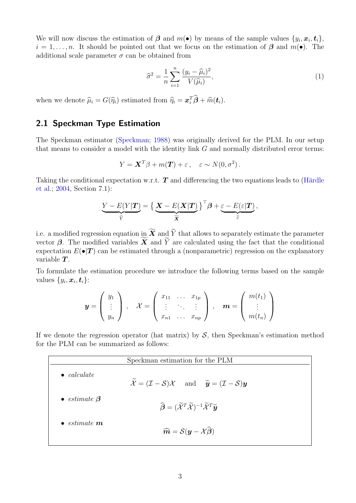We will now discuss the estimation of  $\boldsymbol{\beta}$  and  $m(\bullet)$  by means of the sample values  $\{y_i, x_i, t_i\}$ ,  $i = 1, \ldots, n$ . It should be pointed out that we focus on the estimation of  $\beta$  and  $m(\bullet)$ . The additional scale parameter  $\sigma$  can be obtained from

$$
\widehat{\sigma}^2 = \frac{1}{n} \sum_{i=1}^n \frac{(y_i - \widehat{\mu}_i)^2}{V(\widehat{\mu}_i)},\tag{1}
$$

when we denote  $\hat{\mu}_i = G(\hat{\eta}_i)$  estimated from  $\hat{\eta}_i = \boldsymbol{x}_i^T \hat{\boldsymbol{\beta}} + \hat{m}(\boldsymbol{t}_i)$ .

#### <span id="page-2-0"></span>2.1 Speckman Type Estimation

The Speckman estimator [\(Speckman;](#page-19-1) [1988\)](#page-19-1) was originally derived for the PLM. In our setup that means to consider a model with the identity link  $G$  and normally distributed error terms:

$$
Y = \mathbf{X}^T \beta + m(\mathbf{T}) + \varepsilon \,, \quad \varepsilon \sim N(0, \sigma^2) \,.
$$

Taking the conditional expectation w.r.t.  $T$  and differencing the two equations leads to (Härdle [et al.;](#page-19-5) [2004,](#page-19-5) Section 7.1):

$$
\underbrace{Y - E(Y|\mathbf{T})}_{\widetilde{Y}} = \Big\{ \underbrace{\mathbf{X} - E(\mathbf{X}|\mathbf{T})}_{\widetilde{\mathbf{X}}} \Big\}^{\top} \boldsymbol{\beta} + \underbrace{\varepsilon - E(\varepsilon|\mathbf{T})}_{\widetilde{\varepsilon}},
$$

i.e. a modified regression equation in  $\widetilde{X}$  and  $\widetilde{Y}$  that allows to separately estimate the parameter vector  $\beta$ . The modified variables X and Y are calculated using the fact that the conditional expectation  $E(\bullet|T)$  can be estimated through a (nonparametric) regression on the explanatory variable  $T$ .

To formulate the estimation procedure we introduce the following terms based on the sample values  $\{y_i, \boldsymbol{x}_i, \boldsymbol{t}_i\}$ :

$$
\mathbf{y} = \left(\begin{array}{c} y_1 \\ \vdots \\ y_n \end{array}\right) , \quad \mathcal{X} = \left(\begin{array}{ccc} x_{11} & \dots & x_{1p} \\ \vdots & \ddots & \vdots \\ x_{n1} & \dots & x_{np} \end{array}\right) , \quad \mathbf{m} = \left(\begin{array}{c} m(t_1) \\ \vdots \\ m(t_n) \end{array}\right)
$$

If we denote the regression operator (hat matrix) by  $S$ , then Speckman's estimation method for the PLM can be summarized as follows:

| Speckman estimation for the PLM     |                                                                                                                                           |  |  |  |
|-------------------------------------|-------------------------------------------------------------------------------------------------------------------------------------------|--|--|--|
| $\bullet$ calculate                 | $\widetilde{\mathcal{X}} = (\mathcal{I} - \mathcal{S})\mathcal{X}$ and $\widetilde{\mathbf{y}} = (\mathcal{I} - \mathcal{S})\mathbf{y}$   |  |  |  |
| $\bullet$ estimate $\beta$          | $\widehat{\boldsymbol{\beta}}=(\widetilde{\mathcal{X}}^T\widetilde{\mathcal{X}})^{-1}\widetilde{\mathcal{X}}^T\widetilde{\boldsymbol{y}}$ |  |  |  |
| $\bullet$ estimate $\boldsymbol{m}$ | $\widehat{\boldsymbol{m}} = \mathcal{S}(\boldsymbol{y} - \mathcal{X}\boldsymbol{\beta})$                                                  |  |  |  |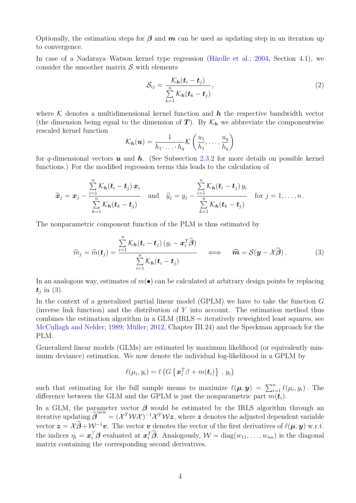Optionally, the estimation steps for  $\beta$  and  $m$  can be used as updating step in an iteration up to convergence.

In case of a Nadaraya–Watson kernel type regression (Härdle et al.; [2004,](#page-19-5) Section 4.1), we consider the smoother matrix  $\mathcal S$  with elements

$$
S_{ij} = \frac{\mathcal{K}_h(\boldsymbol{t}_i - \boldsymbol{t}_j)}{\sum\limits_{k=1}^n \mathcal{K}_h(\boldsymbol{t}_k - \boldsymbol{t}_j)},
$$
\n(2)

where K denotes a multidimensional kernel function and  $h$  the respective bandwidth vector (the dimension being equal to the dimension of T). By  $\mathcal{K}_h$  we abbreviate the componentwise rescaled kernel function

$$
\mathcal{K}_{\boldsymbol{h}}(\boldsymbol{u}) = \frac{1}{h_1 \cdot \ldots \cdot h_q} \mathcal{K}\left(\frac{u_1}{h_1}, \ldots, \frac{u_q}{h_q}\right)
$$

for q-dimensional vectors  $u$  and  $h$ . (See Subsection [2.3.2](#page-6-1) for more details on possible kernel functions.) For the modified regression terms this leads to the calculation of

$$
\widetilde{\boldsymbol{x}}_j = \boldsymbol{x}_j - \frac{\sum\limits_{i=1}^n \mathcal{K}_h(\boldsymbol{t}_i - \boldsymbol{t}_j) \, \boldsymbol{x}_i}{\sum\limits_{k=1}^n \mathcal{K}_h(\boldsymbol{t}_k - \boldsymbol{t}_j)} \quad \text{and} \quad \widetilde{y}_j = y_j - \frac{\sum\limits_{i=1}^n \mathcal{K}_h(\boldsymbol{t}_i - \boldsymbol{t}_j) \, y_i}{\sum\limits_{k=1}^n \mathcal{K}_h(\boldsymbol{t}_k - \boldsymbol{t}_j)} \quad \text{for } j = 1, \ldots, n \, .
$$

The nonparametric component function of the PLM is thus estimated by

<span id="page-3-0"></span>
$$
\widehat{m}_j = \widehat{m}(\boldsymbol{t}_j) = \frac{\sum\limits_{i=1}^n \mathcal{K}_h(\boldsymbol{t}_i - \boldsymbol{t}_j) (y_i - \boldsymbol{x}_i^T \widehat{\boldsymbol{\beta}})}{\sum\limits_{i=1}^n \mathcal{K}_h(\boldsymbol{t}_i - \boldsymbol{t}_j)} \quad \Longleftrightarrow \quad \widehat{\boldsymbol{m}} = \mathcal{S}(\boldsymbol{y} - \mathcal{X}\widehat{\boldsymbol{\beta}}). \tag{3}
$$

In an analogous way, estimates of  $m(\bullet)$  can be calculated at arbitrary design points by replacing  $t_j$  in [\(3\)](#page-3-0).

In the context of a generalized partial linear model (GPLM) we have to take the function G (inverse link function) and the distribution of Y into account. The estimation method thus combines the estimation algorithm in a GLM (IRLS = iteratively reweighted least squares, see [McCullagh and Nelder;](#page-19-0) [1989;](#page-19-0) Müller; [2012,](#page-19-6) Chapter III.24) and the Speckman approach for the PLM.

Generalized linear models (GLMs) are estimated by maximum likelihood (or equivalently minimum deviance) estimation. We now denote the individual log-likelihood in a GPLM by

$$
\ell(\mu_i, y_i) = \ell\left(G\left\{\boldsymbol{x}_i^T\beta + m(\boldsymbol{t}_i)\right\} \,,\, y_i\right)
$$

such that estimating for the full sample means to maximize  $\ell(\mu, y) = \sum_{i=1}^n \ell(\mu_i, y_i)$ . The difference between the GLM and the GPLM is just the nonparametric part  $m(\mathbf{t}_i)$ .

In a GLM, the parameter vector  $\beta$  would be estimated by the IRLS algorithm through an iterative updating  $\hat{\beta}^{new} = (\mathcal{X}^T \mathcal{W} \mathcal{X})^{-1} \mathcal{X}^T \mathcal{W} \mathcal{z}$ , where z denotes the adjusted dependent variable vector  $z = \mathcal{X}\widehat{\beta} + \mathcal{W}^{-1}\mathbf{v}$ . The vector  $\mathbf{v}$  denotes the vector of the first derivatives of  $\ell(\mu, y)$  w.r.t. the indices  $\eta_i = \boldsymbol{x}_i^{\top} \boldsymbol{\beta}$  evaluated at  $\boldsymbol{x}_i^{\top} \boldsymbol{\beta}$ . Analogously,  $\mathcal{W} = \text{diag}(w_{11}, \dots, w_{nn})$  is the diagonal matrix containing the corresponding second derivatives.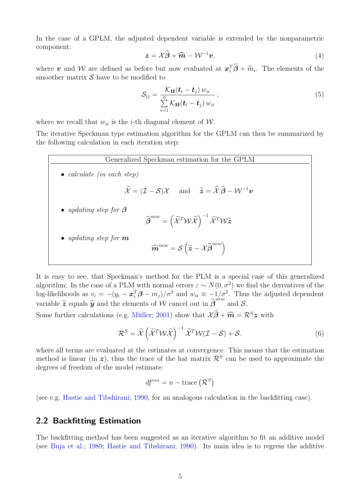In the case of a GPLM, the adjusted dependent variable is extended by the nonparametric component:

$$
z = \mathcal{X}\widehat{\beta} + \widehat{m} - \mathcal{W}^{-1}v,
$$
\n<sup>(4)</sup>

where **v** and W are defined as before but now evaluated at  $x_i^T\hat{\boldsymbol{\beta}} + \hat{m}_i$ . The elements of the smoother matrix S have to be modified to smoother matrix  $\mathcal S$  have to be modified to

$$
S_{ij} = \frac{\mathcal{K}_{\mathbf{H}}(\boldsymbol{t}_i - \boldsymbol{t}_j) w_{ii}}{\sum\limits_{i=1}^{n} \mathcal{K}_{\mathbf{H}}(\boldsymbol{t}_i - \boldsymbol{t}_j) w_{ii}},
$$
\n(5)

where we recall that  $w_{ii}$  is the *i*-th diagonal element of  $W$ .

The iterative Speckman type estimation algorithm for the GPLM can then be summarized by the following calculation in each iteration step:



It is easy to see, that Speckman's method for the PLM is a special case of this generalized algorithm: In the case of a PLM with normal errors  $\varepsilon \sim N(0, \sigma^2)$  we find the derivatives of the log-likelihoods as  $v_i = -(y_i - \boldsymbol{x}_i^T \boldsymbol{\beta} - m_j)/\sigma^2$  and  $w_{ii} \equiv -1/\sigma^2$ . Thus the adjusted dependent variable  $\tilde{\mathbf{z}}$  equals  $\tilde{\mathbf{y}}$  and the elements of W cancel out in  $\hat{\boldsymbol{\beta}}^{new}$  and S.

Some further calculations (e.g. Müller; [2001\)](#page-19-4) show that  $\mathcal{X}\widehat{\boldsymbol{\beta}} + \widehat{\boldsymbol{m}} = \mathcal{R}^S\boldsymbol{z}$  with

$$
\mathcal{R}^S = \widetilde{\mathcal{X}} \left( \widetilde{\mathcal{X}}^T \mathcal{W} \widetilde{\mathcal{X}} \right)^{-1} \widetilde{\mathcal{X}}^T \mathcal{W} (\mathcal{I} - \mathcal{S}) + \mathcal{S}. \tag{6}
$$

where all terms are evaluated at the estimates at convergence. This means that the estimation method is linear (in z), thus the trace of the hat matrix  $\mathcal{R}^S$  can be used to approximate the degrees of freedom of the model estimate:

$$
df^{res} = n - \text{trace}(\mathcal{R}^S)
$$

(see e.g. [Hastie and Tibshirani;](#page-19-3) [1990,](#page-19-3) for an analogous calculation in the backfitting case).

#### <span id="page-4-0"></span>2.2 Backfitting Estimation

The backfitting method has been suggested as an iterative algorithm to fit an additive model (see [Buja et al.;](#page-19-7) [1989;](#page-19-7) [Hastie and Tibshirani;](#page-19-3) [1990\)](#page-19-3). Its main idea is to regress the additive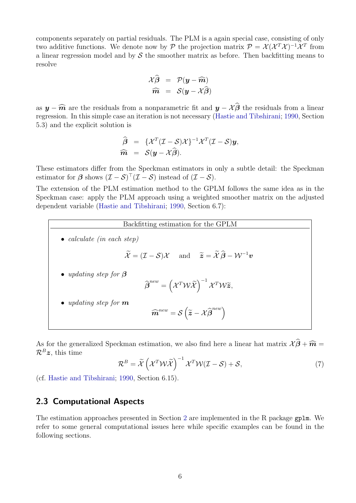components separately on partial residuals. The PLM is a again special case, consisting of only two additive functions. We denote now by  $P$  the projection matrix  $P = \mathcal{X}(\mathcal{X}^T\mathcal{X})^{-1}\mathcal{X}^T$  from a linear regression model and by  $\mathcal S$  the smoother matrix as before. Then backfitting means to resolve

$$
\mathcal{X}\hat{\boldsymbol{\beta}} = \mathcal{P}(\boldsymbol{y} - \widehat{\boldsymbol{m}}) \n\widehat{\boldsymbol{m}} = \mathcal{S}(\boldsymbol{y} - \mathcal{X}\hat{\boldsymbol{\beta}})
$$

as  $y - \widehat{m}$  are the residuals from a nonparametric fit and  $y - \chi \widehat{\beta}$  the residuals from a linear regression. In this simple case an iteration is not necessary [\(Hastie and Tibshirani;](#page-19-3) [1990,](#page-19-3) Section 5.3) and the explicit solution is

$$
\widehat{\boldsymbol{\beta}} = {\mathcal{X}^T(\mathcal{I} - \mathcal{S})\mathcal{X}}^{-1}\mathcal{X}^T(\mathcal{I} - \mathcal{S})\mathbf{y}, \n\widehat{\boldsymbol{m}} = \mathcal{S}(\mathbf{y} - \mathcal{X}\widehat{\boldsymbol{\beta}}).
$$

These estimators differ from the Speckman estimators in only a subtle detail: the Speckman estimator for  $\beta$  shows  $(\mathcal{I} - \mathcal{S})^{\top}(\mathcal{I} - \mathcal{S})$  instead of  $(\mathcal{I} - \mathcal{S})$ .

The extension of the PLM estimation method to the GPLM follows the same idea as in the Speckman case: apply the PLM approach using a weighted smoother matrix on the adjusted dependent variable [\(Hastie and Tibshirani;](#page-19-3) [1990,](#page-19-3) Section 6.7):



As for the generalized Speckman estimation, we also find here a linear hat matrix  $\mathcal{X}\widehat{\boldsymbol{\beta}}+\widehat{\boldsymbol{m}}=$  $\mathcal{R}^B z$ , this time

$$
\mathcal{R}^B = \widetilde{\mathcal{X}} \left( \mathcal{X}^T \mathcal{W} \widetilde{\mathcal{X}} \right)^{-1} \mathcal{X}^T \mathcal{W} (\mathcal{I} - \mathcal{S}) + \mathcal{S}, \tag{7}
$$

(cf. [Hastie and Tibshirani;](#page-19-3) [1990,](#page-19-3) Section 6.15).

#### <span id="page-5-0"></span>2.3 Computational Aspects

The estimation approaches presented in Section [2](#page-1-1) are implemented in the R package gplm. We refer to some general computational issues here while specific examples can be found in the following sections.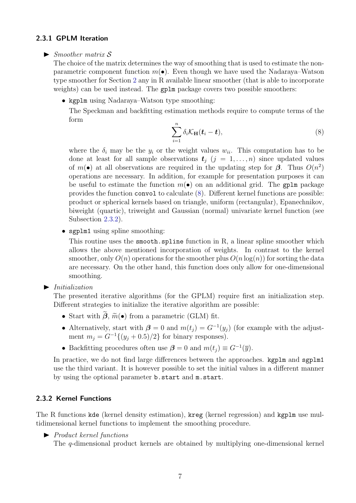#### <span id="page-6-0"></span>2.3.1 GPLM Iteration

#### $\blacktriangleright$  Smoother matrix S

The choice of the matrix determines the way of smoothing that is used to estimate the nonparametric component function  $m(\bullet)$ . Even though we have used the Nadaraya–Watson type smoother for Section [2](#page-1-1) any in R available linear smoother (that is able to incorporate weights) can be used instead. The gplm package covers two possible smoothers:

• kgplm using Nadaraya–Watson type smoothing:

The Speckman and backfitting estimation methods require to compute terms of the form

<span id="page-6-2"></span>
$$
\sum_{i=1}^{n} \delta_i \mathcal{K}_{\mathbf{H}}(\boldsymbol{t}_i - \boldsymbol{t}),
$$
\n(8)

where the  $\delta_i$  may be the  $y_i$  or the weight values  $w_{ii}$ . This computation has to be done at least for all sample observations  $t_i$   $(j = 1, ..., n)$  since updated values of  $m(\bullet)$  at all observations are required in the updating step for  $\beta$ . Thus  $O(n^2)$ operations are necessary. In addition, for example for presentation purposes it can be useful to estimate the function  $m(\bullet)$  on an additional grid. The gplm package provides the function convol to calculate [\(8\)](#page-6-2). Different kernel functions are possible: product or spherical kernels based on triangle, uniform (rectangular), Epanechnikov, biweight (quartic), triweight and Gaussian (normal) univariate kernel function (see Subsection [2.3.2\)](#page-6-1).

• sgplm1 using spline smoothing:

This routine uses the smooth.spline function in R, a linear spline smoother which allows the above mentioned incorporation of weights. In contrast to the kernel smoother, only  $O(n)$  operations for the smoother plus  $O(n \log(n))$  for sorting the data are necessary. On the other hand, this function does only allow for one-dimensional smoothing.

 $\blacktriangleright$  Initialization

The presented iterative algorithms (for the GPLM) require first an initialization step. Different strategies to initialize the iterative algorithm are possible:

- Start with  $\tilde{\beta}$ ,  $\tilde{m}(\bullet)$  from a parametric (GLM) fit.
- Alternatively, start with  $\beta = 0$  and  $m(t_j) = G^{-1}(y_j)$  (for example with the adjustment  $m_i = G^{-1}\{(y_i + 0.5)/2\}$  for binary responses).
- Backfitting procedures often use  $\beta = 0$  and  $m(t_j) \equiv G^{-1}(\overline{y})$ .

In practice, we do not find large differences between the approaches. kgplm and sgplm1 use the third variant. It is however possible to set the initial values in a different manner by using the optional parameter b.start and m.start.

#### <span id="page-6-1"></span>2.3.2 Kernel Functions

The R functions kde (kernel density estimation), kreg (kernel regression) and kgplm use multidimensional kernel functions to implement the smoothing procedure.

 $\blacktriangleright$  Product kernel functions

The q-dimensional product kernels are obtained by multiplying one-dimensional kernel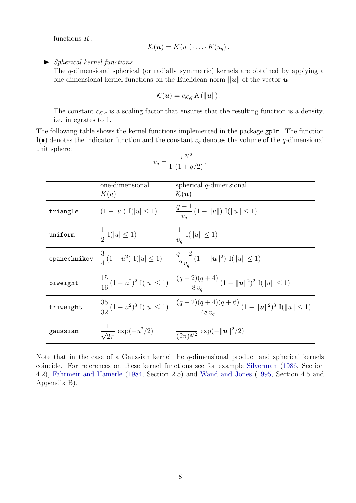functions  $K$ :

$$
\mathcal{K}(\boldsymbol{u})=K(u_1)\cdot\ldots\cdot K(u_q)\,.
$$

 $\blacktriangleright$  Spherical kernel functions

The q-dimensional spherical (or radially symmetric) kernels are obtained by applying a one-dimensional kernel functions on the Euclidean norm  $\|u\|$  of the vector u:

$$
\mathcal{K}(\boldsymbol{u})=c_{\mathcal{K},q}K(\Vert \boldsymbol{u}\Vert).
$$

The constant  $c_{\mathcal{K},q}$  is a scaling factor that ensures that the resulting function is a density, i.e. integrates to 1.

The following table shows the kernel functions implemented in the package gplm. The function I( $\bullet$ ) denotes the indicator function and the constant  $v_q$  denotes the volume of the q-dimensional unit sphere:

$$
v_q = \frac{\pi^{q/2}}{\Gamma(1+q/2)}.
$$

|                      | one-dimensional<br>K(u)                 | spherical $q$ -dimensional<br>$\mathcal{K}(\boldsymbol{u})$                                         |
|----------------------|-----------------------------------------|-----------------------------------------------------------------------------------------------------|
| triangle             | $(1- u )\mathbf{I}( u \leq 1)$          | $\frac{q+1}{v_q}\left(1-\left\ u\right\ \right)\mathrm{I}(\left\ u\right\ \leq 1)$                  |
| uniform              | $rac{1}{2}$ I( u  $\leq$ 1)             | $\frac{1}{v_q} \text{ } \text{I}(  u   \leq 1)$                                                     |
| ${\tt epanechnikov}$ | $\frac{3}{4}(1-u^2)$ I( u  $\leq 1$ )   | $\frac{q+2}{2v}$ $(1-\ \boldsymbol{u}\ ^2)$ I $(\ \boldsymbol{u}\ \leq 1)$                          |
| biweight             | $rac{15}{16}(1-u^2)^2$ I( u  $\leq 1$ ) | $\frac{(q+2)(q+4)}{8v_{\alpha}}(1-\ \boldsymbol{u}\ ^{2})^{2} \text{ I}(\ \boldsymbol{u}\  \leq 1)$ |
| triweight            | $rac{35}{32}(1-u^2)^3$ I( u  $\leq 1$ ) | $\frac{(q+2)(q+4)(q+6)}{48 v_q} (1 -   u  ^2)^3 \operatorname{I}(  u   \le 1)$                      |
| gaussian             | $\frac{1}{\sqrt{2\pi}}\exp(-u^2/2)$     | $\frac{1}{(2\pi)^{q/2}} \exp(-\ \mathbf{u}\ ^2/2)$                                                  |

Note that in the case of a Gaussian kernel the  $q$ -dimensional product and spherical kernels coincide. For references on these kernel functions see for example [Silverman](#page-19-8) [\(1986,](#page-19-8) Section 4.2), [Fahrmeir and Hamerle](#page-19-9) [\(1984,](#page-19-9) Section 2.5) and [Wand and Jones](#page-19-10) [\(1995,](#page-19-10) Section 4.5 and Appendix B).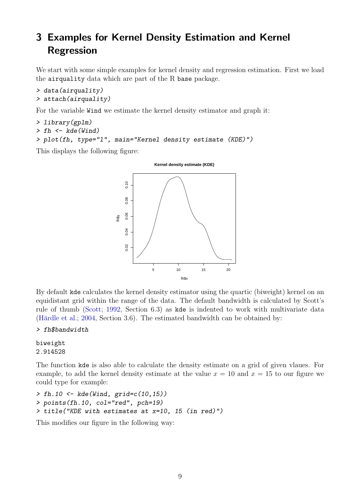# <span id="page-8-0"></span>3 Examples for Kernel Density Estimation and Kernel Regression

We start with some simple examples for kernel density and regression estimation. First we load the airquality data which are part of the R base package.

```
> data(airquality)
> attach(airquality)
```
For the variable Wind we estimate the kernel density estimator and graph it:

```
> library(gplm)
> fh < - kde(Wind)> plot(fh, type="l", main="Kernel density estimate (KDE)")
```
This displays the following figure:



By default kde calculates the kernel density estimator using the quartic (biweight) kernel on an equidistant grid within the range of the data. The default bandwidth is calculated by Scott's rule of thumb [\(Scott;](#page-19-11) [1992,](#page-19-11) Section 6.3) as kde is indented to work with multivariate data (Härdle et al.; [2004,](#page-19-5) Section 3.6). The estimated bandwidth can be obtained by:

#### > fh\$bandwidth

biweight 2.914528

The function kde is also able to calculate the density estimate on a grid of given vlaues. For example, to add the kernel density estimate at the value  $x = 10$  and  $x = 15$  to our figure we could type for example:

> fh.10 <- kde(Wind, grid=c(10,15)) > points(fh.10, col="red", pch=19) > title("KDE with estimates at x=10, 15 (in red)")

This modifies our figure in the following way: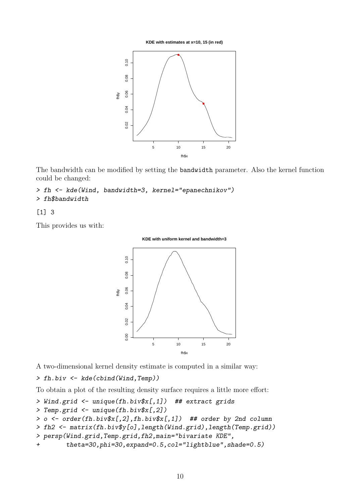**KDE with estimates at x=10, 15 (in red)**



The bandwidth can be modified by setting the bandwidth parameter. Also the kernel function could be changed:

#### > fh <- kde(Wind, bandwidth=3, kernel="epanechnikov") > fh\$bandwidth

#### [1] 3

This provides us with:



A two-dimensional kernel density estimate is computed in a similar way:

> fh.biv <- kde(cbind(Wind,Temp))

To obtain a plot of the resulting density surface requires a little more effort:

```
> Wind.grid <- unique(fh.biv$x[,1]) ## extract grids
```

```
> Temp.grid <- unique(fh.biv$x[,2])
```

```
> o <- order(fh.biv$x[,2],fh.biv$x[,1]) ## order by 2nd column
```

```
> fh2 <- matrix(fh.biv$y[o],length(Wind.grid),length(Temp.grid))
```

```
> persp(Wind.grid,Temp.grid,fh2,main="bivariate KDE",
```

```
+ theta=30,phi=30,expand=0.5,col="lightblue",shade=0.5)
```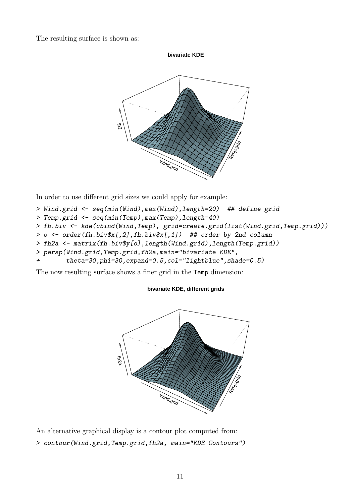The resulting surface is shown as:



In order to use different grid sizes we could apply for example:

```
> Wind.grid <- seq(min(Wind),max(Wind),length=20) ## define grid
```

```
> Temp.grid <- seq(min(Temp),max(Temp),length=40)
```

```
> fh.biv <- kde(cbind(Wind,Temp), grid=create.grid(list(Wind.grid,Temp.grid)))
```

```
> o <- order(fh.biv$x[,2],fh.biv$x[,1]) ## order by 2nd column
```

```
> fh2a <- matrix(fh.biv$y[o],length(Wind.grid),length(Temp.grid))
```

```
> persp(Wind.grid,Temp.grid,fh2a,main="bivariate KDE",
```

```
theta=30,phi=30,expand=0.5,col="lightblue",shade=0.5)
```
The now resulting surface shows a finer grid in the Temp dimension:

#### **bivariate KDE, different grids**



An alternative graphical display is a contour plot computed from: > contour(Wind.grid,Temp.grid,fh2a, main="KDE Contours")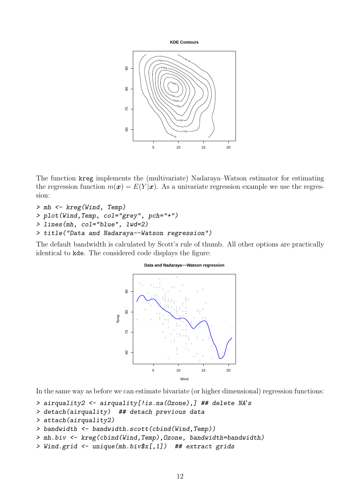**KDE Contours**



The function kreg implements the (multivariate) Nadaraya–Watson estimator for estimating the regression function  $m(\mathbf{x}) = E(Y|\mathbf{x})$ . As a univariate regression example we use the regression:

```
> mh <- kreg(Wind, Temp)
> plot(Wind,Temp, col="grey", pch="+")
> lines(mh, col="blue", lwd=2)
> title("Data and Nadaraya--Watson regression")
```
The default bandwidth is calculated by Scott's rule of thumb. All other options are practically identical to kde. The considered code displays the figure:



In the same way as before we can estimate bivariate (or higher dimensional) regression functions:

```
> airquality2 <- airquality[!is.na(Ozone),] ## delete NA's
```
> detach(airquality) ## detach previous data

```
> attach(airquality2)
```

```
> bandwidth <- bandwidth.scott(cbind(Wind,Temp))
```

```
> mh.biv <- kreg(cbind(Wind,Temp),Ozone, bandwidth=bandwidth)
```

```
> Wind.grid <- unique(mh.biv$x[,1]) ## extract grids
```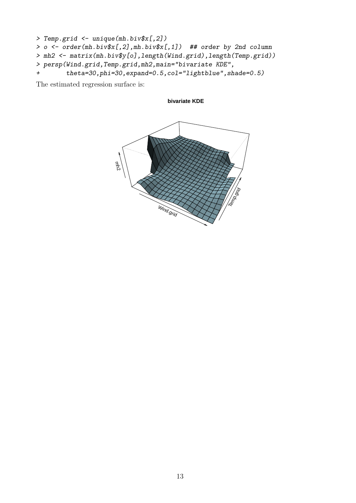```
> Temp.grid <- unique(mh.biv$x[,2])
> o <- order(mh.biv$x[,2],mh.biv$x[,1]) ## order by 2nd column
> mh2 <- matrix(mh.biv$y[o],length(Wind.grid),length(Temp.grid))
> persp(Wind.grid,Temp.grid,mh2,main="bivariate KDE",
+ theta=30,phi=30,expand=0.5,col="lightblue",shade=0.5)
```
The estimated regression surface is:

**bivariate KDE**

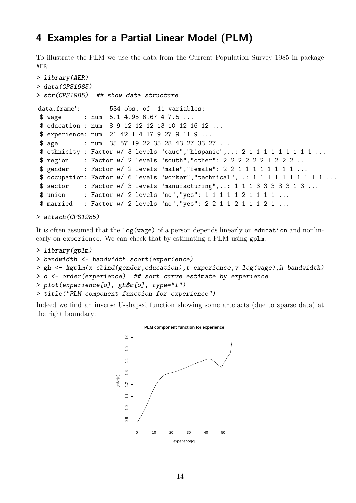# <span id="page-13-0"></span>4 Examples for a Partial Linear Model (PLM)

To illustrate the PLM we use the data from the Current Population Survey 1985 in package AER:

```
> library(AER)
> data(CPS1985)
> str(CPS1985) ## show data structure
'data.frame': 534 obs. of 11 variables:
$ wage : num 5.1 4.95 6.67 4 7.5 ...
$ education : num 8 9 12 12 12 13 10 12 16 12 ...
$ experience: num 21 42 1 4 17 9 27 9 11 9 ...
 $ age : num 35 57 19 22 35 28 43 27 33 27 ...
$ ethnicity : Factor w/ 3 levels "cauc","hispanic",..: 2 1 1 1 1 1 1 1 1 1 ...
$ region : Factor w/ 2 levels "south","other": 2 2 2 2 2 2 1 2 2 2 ...
 $ gender : Factor w/ 2 levels "male", "female": 2 2 1 1 1 1 1 1 1 1 ...
$ occupation: Factor w/ 6 levels "worker", "technical", ..: 1 1 1 1 1 1 1 1 1 1 1 ...
$ sector : Factor w/ 3 levels "manufacturing",..: 1 1 1 3 3 3 3 3 3 1 3 ...
 $ union : Factor w/ 2 levels "no", "yes": 1 1 1 1 1 2 1 1 1 1 ...
 $ married : Factor w/ 2 levels "no","yes": 2 2 1 1 2 1 1 1 2 1 ...
```

```
> attach(CPS1985)
```
It is often assumed that the log(wage) of a person depends linearly on education and nonlinearly on experience. We can check that by estimating a PLM using gplm:

```
> library(gplm)
```

```
> bandwidth <- bandwidth.scott(experience)
```

```
> gh <- kgplm(x=cbind(gender,education),t=experience,y=log(wage),h=bandwidth)
```

```
> o <- order(experience) ## sort curve estimate by experience
```

```
> plot(experience[o], gh$m[o], type="l")
```

```
> title("PLM component function for experience")
```
Indeed we find an inverse U-shaped function showing some artefacts (due to sparse data) at the right boundary:



#### **PLM component function for experience**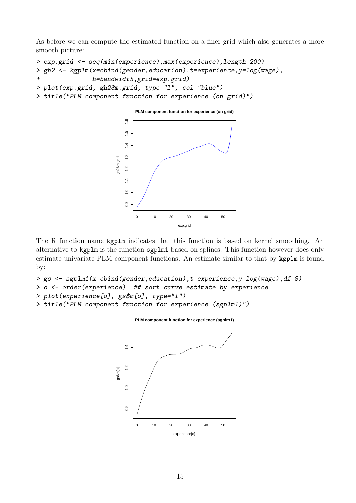As before we can compute the estimated function on a finer grid which also generates a more smooth picture:

```
> exp.grid <- seq(min(experience),max(experience),length=200)
> gh2 <- kgplm(x=cbind(gender,education),t=experience,y=log(wage),
+ h=bandwidth,grid=exp.grid)
> plot(exp.grid, gh2$m.grid, type="l", col="blue")
> title("PLM component function for experience (on grid)")
```


The R function name kgplm indicates that this function is based on kernel smoothing. An alternative to kgplm is the function sgplm1 based on splines. This function however does only estimate univariate PLM component functions. An estimate similar to that by kgplm is found by:

```
> gs <- sgplm1(x=cbind(gender,education),t=experience,y=log(wage),df=8)
> o <- order(experience) ## sort curve estimate by experience
```

```
> plot(experience[o], gs$m[o], type="l")
```

```
> title("PLM component function for experience (sgplm1)")
```
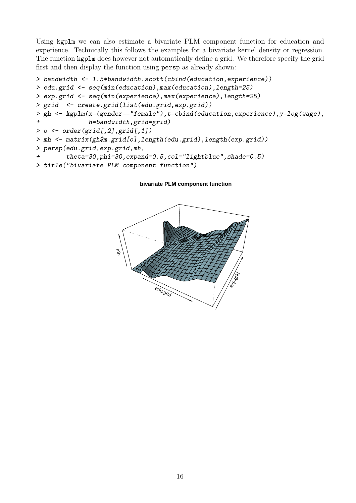Using kgplm we can also estimate a bivariate PLM component function for education and experience. Technically this follows the examples for a bivariate kernel density or regression. The function kgplm does however not automatically define a grid. We therefore specify the grid first and then display the function using persp as already shown:

```
> bandwidth <- 1.5*bandwidth.scott(cbind(education,experience))
> edu.grid <- seq(min(education),max(education),length=25)
> exp.grid <- seq(min(experience),max(experience),length=25)
> grid <- create.grid(list(edu.grid,exp.grid))
> gh <- kgplm(x=(gender=="female"),t=cbind(education,experience),y=log(wage),
+ h=bandwidth,grid=grid)
> 0 \leq - \text{order}(\text{grid}[0,2], \text{grid}[0,1])> mh <- matrix(gh$m.grid[o],length(edu.grid),length(exp.grid))
> persp(edu.grid,exp.grid,mh,
        theta=30,phi=30,expand=0.5,col="lightblue", shade=0.5)> title("bivariate PLM component function")
```
#### **bivariate PLM component function**

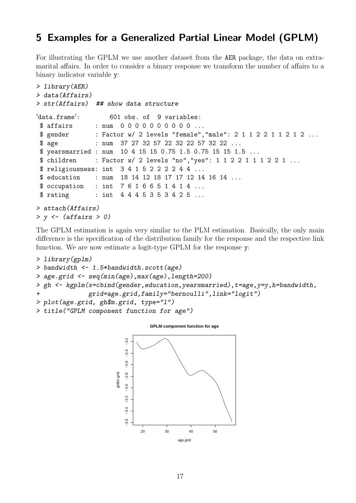### <span id="page-16-0"></span>5 Examples for a Generalized Partial Linear Model (GPLM)

For illustrating the GPLM we use another dataset from the AER package, the data on extramarital affairs. In order to consider a binary response we transform the number of affairs to a binary indicator variable y:

```
> library(AER)
> data(Affairs)
> str(Affairs) ## show data structure
'data.frame': 601 obs. of 9 variables:
$ affairs : num 0000000000...
$ gender : Factor w/ 2 levels "female", "male": 2 1 1 2 2 1 1 2 1 2 ...
$ age : num 37 27 32 57 22 32 22 57 32 22 ...
$ yearsmarried : num 10 4 15 15 0.75 1.5 0.75 15 15 1.5 ...
$ children : Factor w/ 2 levels "no", "yes": 1 1 2 2 1 1 1 2 2 1 ...
 $ religiousness: int 3 4 1 5 2 2 2 2 4 4 ...
$ education : num 18 14 12 18 17 17 12 14 16 14 ...
$ occupation : int 7 6 1 6 6 5 1 4 1 4 ...
$ rating : int 4 4 4 5 3 5 3 4 2 5 ...
> attach(Affairs)
> y \leftarrow (affairs > 0)
```
The GPLM estimation is again very similar to the PLM estimation. Basically, the only main difference is the specification of the distribution family for the response and the respective link function. We are now estimate a logit-type GPLM for the response y:

```
> library(gplm)
> bandwidth <- 1.5*bandwidth.scott(age)
> age.grid <- seq(min(age),max(age),length=200)
> gh <- kgplm(x=cbind(gender,education,yearsmarried),t=age,y=y,h=bandwidth,
+ grid=age.grid,family="bernoulli",link="logit")
> plot(age.grid, gh$m.grid, type="l")
```
> title("GPLM component function for age")

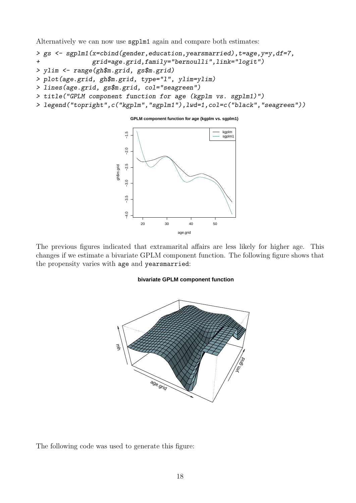Alternatively we can now use sgplm1 again and compare both estimates:

```
> gs <- sgplm1(x=cbind(gender,education,yearsmarried),t=age,y=y,df=7,
+ grid=age.grid,family="bernoulli",link="logit")
```
- > ylim <- range(gh\$m.grid, gs\$m.grid)
- > plot(age.grid, gh\$m.grid, type="l", ylim=ylim)
- > lines(age.grid, gs\$m.grid, col="seagreen")
- > title("GPLM component function for age (kgplm vs. sgplm1)")
- > legend("topright",c("kgplm","sgplm1"),lwd=1,col=c("black","seagreen"))



The previous figures indicated that extramarital affairs are less likely for higher age. This changes if we estimate a bivariate GPLM component function. The following figure shows that the propensity varies with age and yearsmarried:

#### **bivariate GPLM component function**



The following code was used to generate this figure: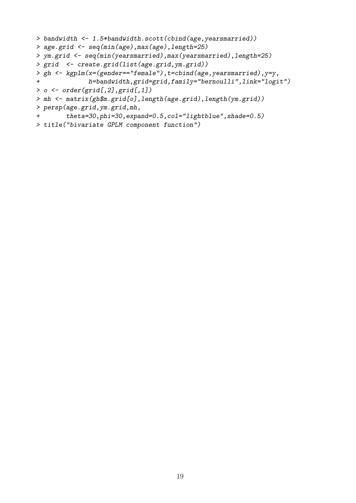```
> bandwidth <- 1.5*bandwidth.scott(cbind(age,yearsmarried))
> age.grid <- seq(min(age),max(age),length=25)
> ym.grid <- seq(min(yearsmarried),max(yearsmarried),length=25)
> grid <- create.grid(list(age.grid,ym.grid))
> gh <- kgplm(x=(gender=="female"),t=cbind(age,yearsmarried),y=y,
+ h=bandwidth,grid=grid,family="bernoulli",link="logit")
> 0 \le - \text{ order}(\text{grid}[, 2], \text{grid}[, 1])> mh <- matrix(gh$m.grid[o],length(age.grid),length(ym.grid))
> persp(age.grid,ym.grid,mh,
+ theta=30,phi=30,expand=0.5,col="lightblue",shade=0.5)
```
> title("bivariate GPLM component function")